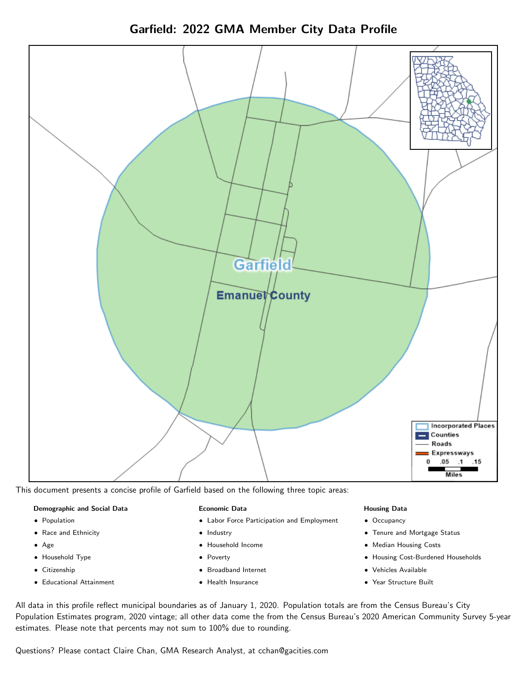Garfield: 2022 GMA Member City Data Profile



This document presents a concise profile of Garfield based on the following three topic areas:

#### Demographic and Social Data

- **•** Population
- Race and Ethnicity
- Age
- Household Type
- **Citizenship**
- Educational Attainment

#### Economic Data

- Labor Force Participation and Employment
- Industry
- Household Income
- Poverty
- Broadband Internet
- Health Insurance

#### Housing Data

- Occupancy
- Tenure and Mortgage Status
- Median Housing Costs
- Housing Cost-Burdened Households
- Vehicles Available
- Year Structure Built

All data in this profile reflect municipal boundaries as of January 1, 2020. Population totals are from the Census Bureau's City Population Estimates program, 2020 vintage; all other data come the from the Census Bureau's 2020 American Community Survey 5-year estimates. Please note that percents may not sum to 100% due to rounding.

Questions? Please contact Claire Chan, GMA Research Analyst, at [cchan@gacities.com.](mailto:cchan@gacities.com)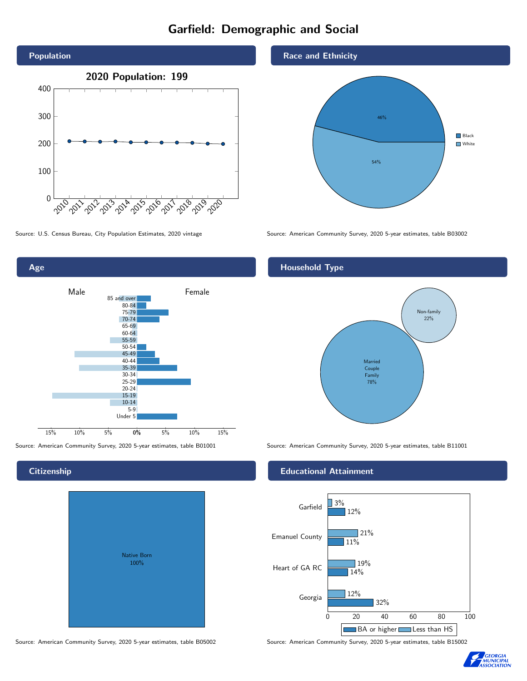# Garfield: Demographic and Social





# **Citizenship**

| <b>Native Born</b><br>100% |  |
|----------------------------|--|

Source: American Community Survey, 2020 5-year estimates, table B05002 Source: American Community Survey, 2020 5-year estimates, table B15002

#### Race and Ethnicity



Source: U.S. Census Bureau, City Population Estimates, 2020 vintage Source: American Community Survey, 2020 5-year estimates, table B03002

## Household Type



Source: American Community Survey, 2020 5-year estimates, table B01001 Source: American Community Survey, 2020 5-year estimates, table B11001

#### Educational Attainment



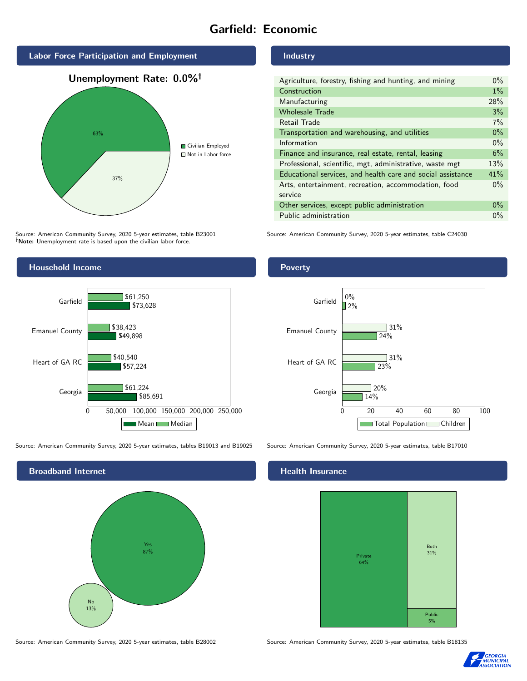# Garfield: Economic



Source: American Community Survey, 2020 5-year estimates, table B23001 Note: Unemployment rate is based upon the civilian labor force.



Source: American Community Survey, 2020 5-year estimates, tables B19013 and B19025 Source: American Community Survey, 2020 5-year estimates, table B17010



Source: American Community Survey, 2020 5-year estimates, table B28002 Source: American Community Survey, 2020 5-year estimates, table B18135

#### Industry

| Agriculture, forestry, fishing and hunting, and mining      |     |
|-------------------------------------------------------------|-----|
| Construction                                                |     |
| Manufacturing                                               | 28% |
| <b>Wholesale Trade</b>                                      |     |
| Retail Trade                                                |     |
| Transportation and warehousing, and utilities               |     |
| Information                                                 |     |
| Finance and insurance, real estate, rental, leasing         |     |
| Professional, scientific, mgt, administrative, waste mgt    |     |
| Educational services, and health care and social assistance |     |
| Arts, entertainment, recreation, accommodation, food        |     |
| service                                                     |     |
| Other services, except public administration                |     |
| Public administration                                       |     |

Source: American Community Survey, 2020 5-year estimates, table C24030

### Poverty



## **Health Insurance**